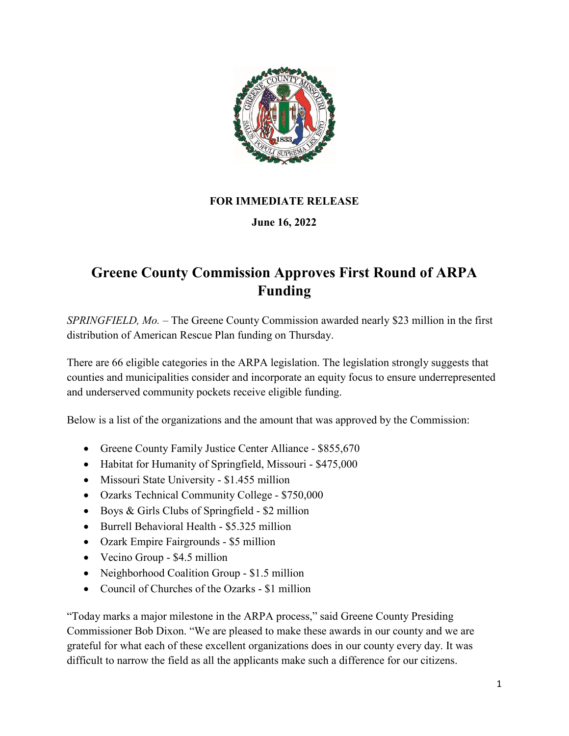

## **FOR IMMEDIATE RELEASE**

## **June 16, 2022**

## **Greene County Commission Approves First Round of ARPA Funding**

*SPRINGFIELD, Mo.* – The Greene County Commission awarded nearly \$23 million in the first distribution of American Rescue Plan funding on Thursday.

There are 66 eligible categories in the ARPA legislation. The legislation strongly suggests that counties and municipalities consider and incorporate an equity focus to ensure underrepresented and underserved community pockets receive eligible funding.

Below is a list of the organizations and the amount that was approved by the Commission:

- Greene County Family Justice Center Alliance \$855,670
- Habitat for Humanity of Springfield, Missouri \$475,000
- Missouri State University \$1.455 million
- Ozarks Technical Community College \$750,000
- Boys & Girls Clubs of Springfield \$2 million
- Burrell Behavioral Health \$5.325 million
- Ozark Empire Fairgrounds \$5 million
- Vecino Group \$4.5 million
- Neighborhood Coalition Group \$1.5 million
- Council of Churches of the Ozarks \$1 million

"Today marks a major milestone in the ARPA process," said Greene County Presiding Commissioner Bob Dixon. "We are pleased to make these awards in our county and we are grateful for what each of these excellent organizations does in our county every day. It was difficult to narrow the field as all the applicants make such a difference for our citizens.